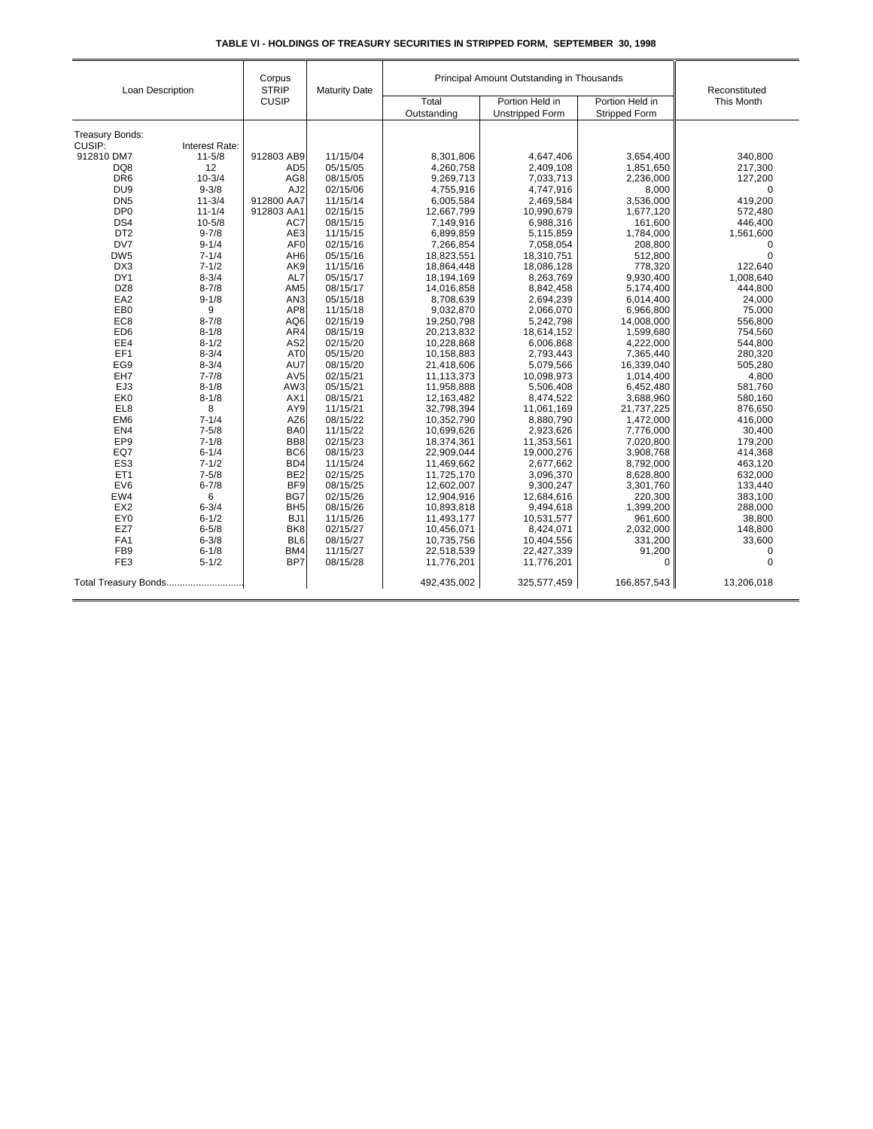| Loan Description                   |                        | Corpus<br><b>STRIP</b>             | <b>Maturity Date</b> | Principal Amount Outstanding in Thousands |                          |                         | Reconstituted              |
|------------------------------------|------------------------|------------------------------------|----------------------|-------------------------------------------|--------------------------|-------------------------|----------------------------|
|                                    |                        | <b>CUSIP</b>                       |                      | Total                                     | Portion Held in          | Portion Held in         | This Month                 |
|                                    |                        |                                    |                      | Outstanding                               | <b>Unstripped Form</b>   | <b>Stripped Form</b>    |                            |
|                                    |                        |                                    |                      |                                           |                          |                         |                            |
| Treasury Bonds:                    |                        |                                    |                      |                                           |                          |                         |                            |
| CUSIP:                             | Interest Rate:         |                                    |                      |                                           |                          |                         |                            |
| 912810 DM7<br>DQ8                  | $11 - 5/8$<br>12       | 912803 AB9<br>AD <sub>5</sub>      | 11/15/04<br>05/15/05 | 8,301,806<br>4,260,758                    | 4,647,406<br>2,409,108   | 3,654,400<br>1,851,650  | 340.800<br>217,300         |
| DR <sub>6</sub>                    | $10 - 3/4$             | AG8                                | 08/15/05             | 9,269,713                                 | 7,033,713                | 2,236,000               | 127,200                    |
| DU <sub>9</sub>                    | $9 - 3/8$              | AJ <sub>2</sub>                    | 02/15/06             |                                           |                          | 8,000                   | $\mathbf 0$                |
| DN <sub>5</sub>                    |                        |                                    |                      | 4,755,916                                 | 4,747,916                |                         |                            |
|                                    | $11 - 3/4$             | 912800 AA7                         | 11/15/14             | 6,005,584                                 | 2,469,584                | 3,536,000               | 419,200                    |
| DP <sub>0</sub><br>DS4             | $11 - 1/4$             | 912803 AA1                         | 02/15/15             | 12,667,799                                | 10.990.679               | 1,677,120               | 572,480                    |
|                                    | $10 - 5/8$             | AC7                                | 08/15/15             | 7,149,916                                 | 6,988,316                | 161,600                 | 446,400                    |
| DT <sub>2</sub><br>DV7             | $9 - 7/8$              | AE3                                | 11/15/15             | 6,899,859                                 | 5,115,859                | 1,784,000               | 1,561,600                  |
| DW <sub>5</sub>                    | $9 - 1/4$              | AF <sub>0</sub><br>AH <sub>6</sub> | 02/15/16             | 7,266,854                                 | 7,058,054                | 208,800                 | $\mathbf 0$<br>$\mathbf 0$ |
|                                    | $7 - 1/4$              |                                    | 05/15/16             | 18,823,551                                | 18,310,751               | 512,800                 |                            |
| DX3<br>DY1                         | $7 - 1/2$              | AK9                                | 11/15/16             | 18,864,448                                | 18,086,128               | 778,320                 | 122,640                    |
|                                    | $8 - 3/4$              | AL7                                | 05/15/17             | 18,194,169                                | 8,263,769                | 9,930,400               | 1,008,640                  |
| DZ8<br>EA <sub>2</sub>             | $8 - 7/8$              | AM <sub>5</sub>                    | 08/15/17             | 14.016.858                                | 8,842,458                | 5,174,400               | 444.800                    |
|                                    | $9 - 1/8$              | AN <sub>3</sub>                    | 05/15/18             | 8,708,639                                 | 2,694,239                | 6,014,400               | 24,000                     |
| EB <sub>0</sub>                    | 9                      | AP8                                | 11/15/18             | 9,032,870                                 | 2,066,070                | 6,966,800               | 75,000                     |
| EC <sub>8</sub>                    | $8 - 7/8$              | AQ6                                | 02/15/19             | 19,250,798                                | 5,242,798                | 14,008,000              | 556,800                    |
| ED <sub>6</sub>                    | $8 - 1/8$              | AR4                                | 08/15/19             | 20,213,832                                | 18,614,152               | 1,599,680               | 754,560                    |
| EE4                                | $8 - 1/2$              | AS <sub>2</sub>                    | 02/15/20             | 10,228,868                                | 6,006,868                | 4,222,000               | 544,800                    |
| EF1                                | $8 - 3/4$              | AT <sub>0</sub>                    | 05/15/20             | 10,158,883                                | 2,793,443                | 7,365,440               | 280,320                    |
| EG9                                | $8 - 3/4$              | AU7                                | 08/15/20             | 21,418,606                                | 5,079,566                | 16,339,040              | 505,280                    |
| EH7                                | $7 - 7/8$              | AV5<br>AW3                         | 02/15/21             | 11,113,373                                | 10,098,973               | 1,014,400               | 4,800                      |
| EJ3<br>EK0                         | $8 - 1/8$              | AX1                                | 05/15/21             | 11,958,888                                | 5,506,408                | 6,452,480               | 581,760                    |
| EL8                                | $8 - 1/8$              | AY9                                | 08/15/21<br>11/15/21 | 12,163,482<br>32,798,394                  | 8,474,522<br>11,061,169  | 3,688,960<br>21,737,225 | 580,160<br>876,650         |
|                                    | 8                      |                                    |                      |                                           |                          |                         |                            |
| EM <sub>6</sub><br>EN <sub>4</sub> | $7 - 1/4$<br>$7 - 5/8$ | AZ6<br>BA0                         | 08/15/22<br>11/15/22 | 10,352,790<br>10,699,626                  | 8,880,790<br>2,923,626   | 1,472,000<br>7,776,000  | 416,000<br>30,400          |
| EP <sub>9</sub>                    |                        | BB8                                |                      |                                           |                          |                         |                            |
| EQ7                                | $7 - 1/8$<br>$6 - 1/4$ | BC <sub>6</sub>                    | 02/15/23<br>08/15/23 | 18,374,361<br>22,909,044                  | 11,353,561<br>19,000,276 | 7,020,800<br>3,908,768  | 179,200<br>414,368         |
| ES <sub>3</sub>                    | $7 - 1/2$              | BD4                                |                      |                                           |                          |                         |                            |
| ET <sub>1</sub>                    | $7 - 5/8$              | BE <sub>2</sub>                    | 11/15/24<br>02/15/25 | 11,469,662<br>11,725,170                  | 2,677,662<br>3,096,370   | 8,792,000<br>8,628,800  | 463,120<br>632,000         |
| EV6                                | $6 - 7/8$              | BF <sub>9</sub>                    | 08/15/25             | 12,602,007                                | 9,300,247                | 3,301,760               | 133,440                    |
| EW4                                | 6                      | BG7                                | 02/15/26             | 12,904,916                                | 12,684,616               | 220,300                 | 383,100                    |
| EX <sub>2</sub>                    | $6 - 3/4$              | BH <sub>5</sub>                    | 08/15/26             | 10,893,818                                | 9,494,618                |                         | 288,000                    |
| EY <sub>0</sub>                    | $6 - 1/2$              | BJ1                                | 11/15/26             |                                           |                          | 1,399,200               |                            |
| EZ7                                | $6 - 5/8$              | BK <sub>8</sub>                    | 02/15/27             | 11,493,177                                | 10,531,577               | 961,600                 | 38,800                     |
| FA1                                | $6 - 3/8$              | BL <sub>6</sub>                    | 08/15/27             | 10,456,071                                | 8,424,071                | 2,032,000<br>331,200    | 148,800                    |
| FB <sub>9</sub>                    | $6 - 1/8$              | BM4                                | 11/15/27             | 10,735,756<br>22,518,539                  | 10,404,556<br>22,427,339 | 91,200                  | 33,600<br>$\mathbf 0$      |
| FE <sub>3</sub>                    | $5 - 1/2$              | BP7                                |                      |                                           |                          |                         | $\Omega$                   |
|                                    |                        |                                    | 08/15/28             | 11,776,201                                | 11,776,201               | 0                       |                            |
| Total Treasury Bonds               |                        |                                    |                      | 492,435,002                               | 325,577,459              | 166,857,543             | 13,206,018                 |